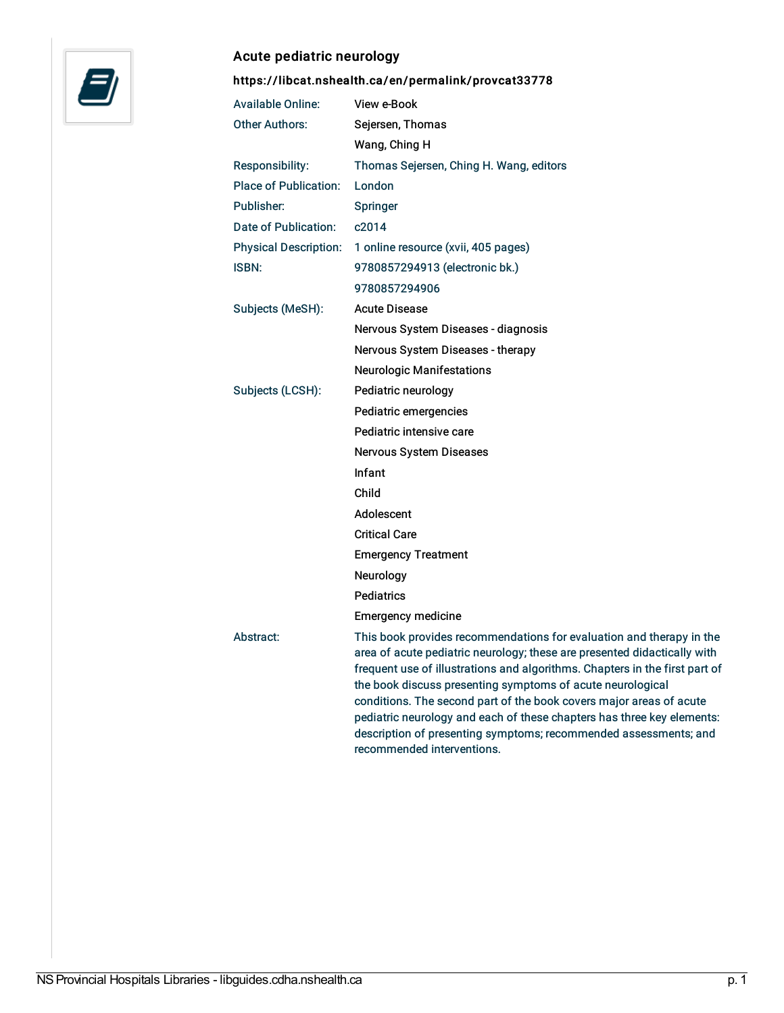

## Acute pediatric neurology

<https://libcat.nshealth.ca/en/permalink/provcat33778>

| <b>Available Online:</b>     | View e-Book                                                                                                                                                                                                                                                                                                                                                                                                                                                                                                                                      |
|------------------------------|--------------------------------------------------------------------------------------------------------------------------------------------------------------------------------------------------------------------------------------------------------------------------------------------------------------------------------------------------------------------------------------------------------------------------------------------------------------------------------------------------------------------------------------------------|
| <b>Other Authors:</b>        | Sejersen, Thomas                                                                                                                                                                                                                                                                                                                                                                                                                                                                                                                                 |
|                              | Wang, Ching H                                                                                                                                                                                                                                                                                                                                                                                                                                                                                                                                    |
| Responsibility:              | Thomas Sejersen, Ching H. Wang, editors                                                                                                                                                                                                                                                                                                                                                                                                                                                                                                          |
| <b>Place of Publication:</b> | London                                                                                                                                                                                                                                                                                                                                                                                                                                                                                                                                           |
| Publisher:                   | Springer                                                                                                                                                                                                                                                                                                                                                                                                                                                                                                                                         |
| Date of Publication:         | c2014                                                                                                                                                                                                                                                                                                                                                                                                                                                                                                                                            |
| <b>Physical Description:</b> | 1 online resource (xvii, 405 pages)                                                                                                                                                                                                                                                                                                                                                                                                                                                                                                              |
| <b>ISBN:</b>                 | 9780857294913 (electronic bk.)                                                                                                                                                                                                                                                                                                                                                                                                                                                                                                                   |
|                              | 9780857294906                                                                                                                                                                                                                                                                                                                                                                                                                                                                                                                                    |
| Subjects (MeSH):             | <b>Acute Disease</b>                                                                                                                                                                                                                                                                                                                                                                                                                                                                                                                             |
|                              | Nervous System Diseases - diagnosis                                                                                                                                                                                                                                                                                                                                                                                                                                                                                                              |
|                              | Nervous System Diseases - therapy                                                                                                                                                                                                                                                                                                                                                                                                                                                                                                                |
|                              | <b>Neurologic Manifestations</b>                                                                                                                                                                                                                                                                                                                                                                                                                                                                                                                 |
| Subjects (LCSH):             | Pediatric neurology                                                                                                                                                                                                                                                                                                                                                                                                                                                                                                                              |
|                              | Pediatric emergencies                                                                                                                                                                                                                                                                                                                                                                                                                                                                                                                            |
|                              | Pediatric intensive care                                                                                                                                                                                                                                                                                                                                                                                                                                                                                                                         |
|                              | Nervous System Diseases                                                                                                                                                                                                                                                                                                                                                                                                                                                                                                                          |
|                              | Infant                                                                                                                                                                                                                                                                                                                                                                                                                                                                                                                                           |
|                              | Child                                                                                                                                                                                                                                                                                                                                                                                                                                                                                                                                            |
|                              | Adolescent                                                                                                                                                                                                                                                                                                                                                                                                                                                                                                                                       |
|                              | <b>Critical Care</b>                                                                                                                                                                                                                                                                                                                                                                                                                                                                                                                             |
|                              | <b>Emergency Treatment</b>                                                                                                                                                                                                                                                                                                                                                                                                                                                                                                                       |
|                              | Neurology                                                                                                                                                                                                                                                                                                                                                                                                                                                                                                                                        |
|                              | <b>Pediatrics</b>                                                                                                                                                                                                                                                                                                                                                                                                                                                                                                                                |
|                              | <b>Emergency medicine</b>                                                                                                                                                                                                                                                                                                                                                                                                                                                                                                                        |
| Abstract:                    | This book provides recommendations for evaluation and therapy in the<br>area of acute pediatric neurology; these are presented didactically with<br>frequent use of illustrations and algorithms. Chapters in the first part of<br>the book discuss presenting symptoms of acute neurological<br>conditions. The second part of the book covers major areas of acute<br>pediatric neurology and each of these chapters has three key elements:<br>description of presenting symptoms; recommended assessments; and<br>recommended interventions. |